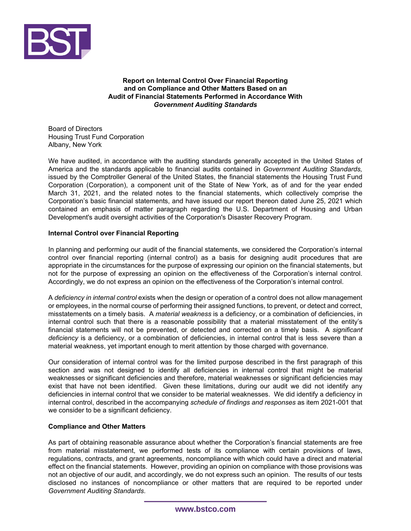

**Report on Internal Control Over Financial Reporting and on Compliance and Other Matters Based on an Audit of Financial Statements Performed in Accordance With**  *Government Auditing Standards* 

Board of Directors Housing Trust Fund Corporation Albany, New York

We have audited, in accordance with the auditing standards generally accepted in the United States of America and the standards applicable to financial audits contained in *Government Auditing Standards,*  issued by the Comptroller General of the United States, the financial statements the Housing Trust Fund Corporation (Corporation), a component unit of the State of New York, as of and for the year ended March 31, 2021, and the related notes to the financial statements, which collectively comprise the Corporation's basic financial statements, and have issued our report thereon dated June 25, 2021 which contained an emphasis of matter paragraph regarding the U.S. Department of Housing and Urban Development's audit oversight activities of the Corporation's Disaster Recovery Program.

# **Internal Control over Financial Reporting**

In planning and performing our audit of the financial statements, we considered the Corporation's internal control over financial reporting (internal control) as a basis for designing audit procedures that are appropriate in the circumstances for the purpose of expressing our opinion on the financial statements, but not for the purpose of expressing an opinion on the effectiveness of the Corporation's internal control. Accordingly, we do not express an opinion on the effectiveness of the Corporation's internal control.

A *deficiency in internal control* exists when the design or operation of a control does not allow management or employees, in the normal course of performing their assigned functions, to prevent, or detect and correct, misstatements on a timely basis. A *material weakness* is a deficiency, or a combination of deficiencies, in internal control such that there is a reasonable possibility that a material misstatement of the entity's financial statements will not be prevented, or detected and corrected on a timely basis. A *significant deficiency* is a deficiency, or a combination of deficiencies, in internal control that is less severe than a material weakness, yet important enough to merit attention by those charged with governance.

Our consideration of internal control was for the limited purpose described in the first paragraph of this section and was not designed to identify all deficiencies in internal control that might be material weaknesses or significant deficiencies and therefore, material weaknesses or significant deficiencies may exist that have not been identified. Given these limitations, during our audit we did not identify any deficiencies in internal control that we consider to be material weaknesses. We did identify a deficiency in internal control, described in the accompanying *schedule of findings and responses* as item 2021-001 that we consider to be a significant deficiency.

### **Compliance and Other Matters**

As part of obtaining reasonable assurance about whether the Corporation's financial statements are free from material misstatement, we performed tests of its compliance with certain provisions of laws, regulations, contracts, and grant agreements, noncompliance with which could have a direct and material effect on the financial statements. However, providing an opinion on compliance with those provisions was not an objective of our audit, and accordingly, we do not express such an opinion. The results of our tests disclosed no instances of noncompliance or other matters that are required to be reported under *Government Auditing Standards*.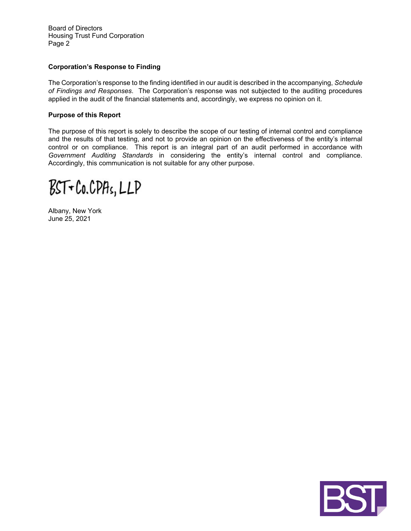Board of Directors Housing Trust Fund Corporation Page 2

# **Corporation's Response to Finding**

The Corporation's response to the finding identified in our audit is described in the accompanying, *Schedule of Findings and Responses*. The Corporation's response was not subjected to the auditing procedures applied in the audit of the financial statements and, accordingly, we express no opinion on it.

# **Purpose of this Report**

The purpose of this report is solely to describe the scope of our testing of internal control and compliance and the results of that testing, and not to provide an opinion on the effectiveness of the entity's internal control or on compliance. This report is an integral part of an audit performed in accordance with *Government Auditing Standards* in considering the entity's internal control and compliance. Accordingly, this communication is not suitable for any other purpose.

 $BST$ + $Co.CPHs, LLP$ 

Albany, New York June 25, 2021